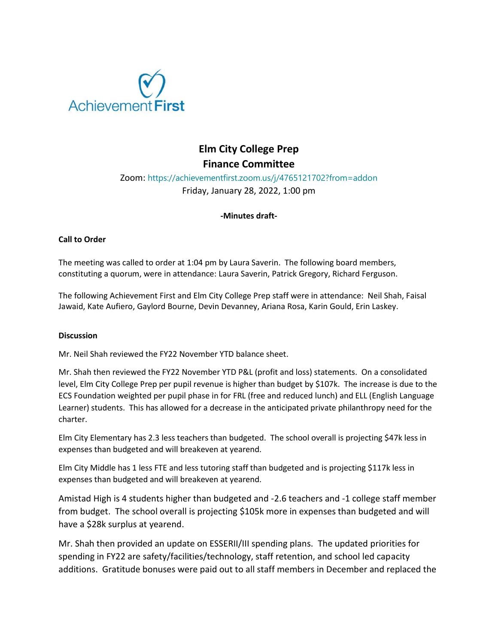

# **Elm City College Prep Finance Committee**

### Zoom: https://achievementfirst.zoom.us/j/4765121702?from=addon Friday, January 28, 2022, 1:00 pm

#### **-Minutes draft-**

#### **Call to Order**

The meeting was called to order at 1:04 pm by Laura Saverin. The following board members, constituting a quorum, were in attendance: Laura Saverin, Patrick Gregory, Richard Ferguson.

The following Achievement First and Elm City College Prep staff were in attendance: Neil Shah, Faisal Jawaid, Kate Aufiero, Gaylord Bourne, Devin Devanney, Ariana Rosa, Karin Gould, Erin Laskey.

#### **Discussion**

Mr. Neil Shah reviewed the FY22 November YTD balance sheet.

Mr. Shah then reviewed the FY22 November YTD P&L (profit and loss) statements. On a consolidated level, Elm City College Prep per pupil revenue is higher than budget by \$107k. The increase is due to the ECS Foundation weighted per pupil phase in for FRL (free and reduced lunch) and ELL (English Language Learner) students. This has allowed for a decrease in the anticipated private philanthropy need for the charter.

Elm City Elementary has 2.3 less teachers than budgeted. The school overall is projecting \$47k less in expenses than budgeted and will breakeven at yearend.

Elm City Middle has 1 less FTE and less tutoring staff than budgeted and is projecting \$117k less in expenses than budgeted and will breakeven at yearend.

Amistad High is 4 students higher than budgeted and -2.6 teachers and -1 college staff member from budget. The school overall is projecting \$105k more in expenses than budgeted and will have a \$28k surplus at yearend.

Mr. Shah then provided an update on ESSERII/III spending plans. The updated priorities for spending in FY22 are safety/facilities/technology, staff retention, and school led capacity additions. Gratitude bonuses were paid out to all staff members in December and replaced the